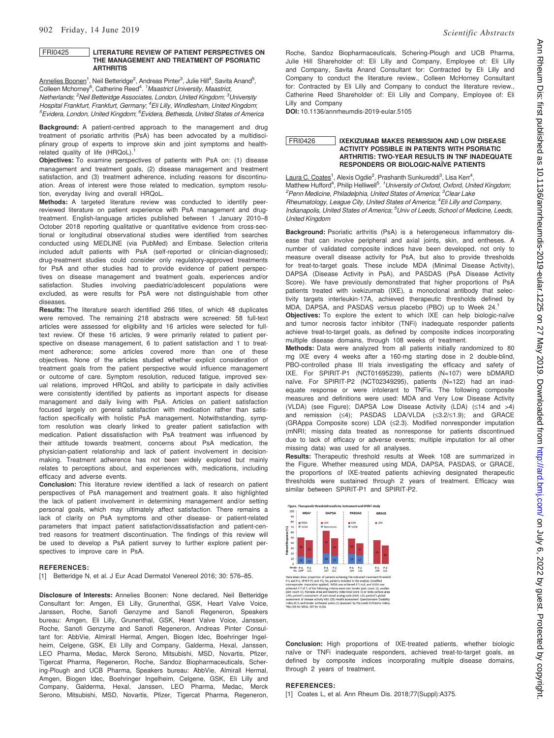#### FRI0425 LITERATURE REVIEW OF PATIENT PERSPECTIVES ON THE MANAGEMENT AND TREATMENT OF PSORIATIC **ARTHRITIS**

Annelies Boonen<sup>1</sup>, Neil Betteridge<sup>2</sup>, Andreas Pinter<sup>3</sup>, Julie Hill<sup>4</sup>, Savita Anand<sup>5</sup>, Colleen Mchorney<sup>6</sup>, Catherine Reed<sup>4</sup>. <sup>1</sup> Maastrict University, Maastrict, Netherlands; <sup>2</sup>Neil Betteridge Associates, London, United Kingdom; <sup>3</sup>University Hospital Frankfurt, Frankfurt, Germany; <sup>4</sup>Eli Lilly, Windlesham, United Kingdom; <sup>5</sup>Evidera, London, United Kingdom; <sup>6</sup>Evidera, Bethesda, United States of America

Background: A patient-centred approach to the management and drug treatment of psoriatic arthritis (PsA) has been advocated by a multidisciplinary group of experts to improve skin and joint symptoms and healthrelated quality of life (HRQoL).<sup>1</sup>

Objectives: To examine perspectives of patients with PsA on: (1) disease management and treatment goals, (2) disease management and treatment satisfaction, and (3) treatment adherence, including reasons for discontinuation. Areas of interest were those related to medication, symptom resolution, everyday living and overall HRQoL.

Methods: A targeted literature review was conducted to identify peerreviewed literature on patient experience with PsA management and drugtreatment. English-language articles published between 1 January 2010–8 October 2018 reporting qualitative or quantitative evidence from cross-sectional or longitudinal observational studies were identified from searches conducted using MEDLINE (via PubMed) and Embase. Selection criteria included adult patients with PsA (self-reported or clinician-diagnosed); drug-treatment studies could consider only regulatory-approved treatments for PsA and other studies had to provide evidence of patient perspectives on disease management and treatment goals, experiences and/or satisfaction. Studies involving paediatric/adolescent populations were excluded, as were results for PsA were not distinguishable from other diseases.

Results: The literature search identified 266 titles, of which 48 duplicates were removed. The remaining 218 abstracts were screened: 58 full-text articles were assessed for eligibility and 16 articles were selected for fulltext review. Of these 16 articles, 9 were primarily related to patient perspective on disease management, 6 to patient satisfaction and 1 to treatment adherence; some articles covered more than one of these objectives. None of the articles studied whether explicit consideration of treatment goals from the patient perspective would influence management or outcome of care. Symptom resolution, reduced fatigue, improved sexual relations, improved HRQoL and ability to participate in daily activities were consistently identified by patients as important aspects for disease management and daily living with PsA. Articles on patient satisfaction focused largely on general satisfaction with medication rather than satisfaction specifically with holistic PsA management. Notwithstanding, symptom resolution was clearly linked to greater patient satisfaction with medication. Patient dissatisfaction with PsA treatment was influenced by their attitude towards treatment, concerns about PsA medication, the physician-patient relationship and lack of patient involvement in decisionmaking. Treatment adherence has not been widely explored but mainly relates to perceptions about, and experiences with, medications, including efficacy and adverse events.

Conclusion: This literature review identified a lack of research on patient perspectives of PsA management and treatment goals. It also highlighted the lack of patient involvement in determining management and/or setting personal goals, which may ultimately affect satisfaction. There remains a lack of clarity on PsA symptoms and other disease- or patient-related parameters that impact patient satisfaction/dissatisfaction and patient-centred reasons for treatment discontinuation. The findings of this review will be used to develop a PsA patient survey to further explore patient perspectives to improve care in PsA.

#### REFERENCES:

[1] Betteridge N, et al. J Eur Acad Dermatol Venereol 2016; 30: 576-85.

Disclosure of Interests: Annelies Boonen: None declared, Neil Betteridge Consultant for: Amgen, Eli Lilly, Grunenthal, GSK, Heart Valve Voice, Janssen, Roche, Sanofi Genzyme and Sanofi Regeneron, Speakers bureau: Amgen, Eli Lilly, Grunenthal, GSK, Heart Valve Voice, Janssen, Roche, Sanofi Genzyme and Sanofi Regeneron, Andreas Pinter Consultant for: AbbVie, Almirall Hermal, Amgen, Biogen Idec, Boehringer Ingelheim, Celgene, GSK, Eli Lilly and Company, Galderma, Hexal, Janssen, LEO Pharma, Medac, Merck Serono, Mitsubishi, MSD, Novartis, Pfizer, Tigercat Pharma, Regeneron, Roche, Sandoz Biopharmaceuticals, Schering-Plough and UCB Pharma, Speakers bureau: AbbVie, Almirall Hermal, Amgen, Biogen Idec, Boehringer Ingelheim, Celgene, GSK, Eli Lilly and Company, Galderma, Hexal, Janssen, LEO Pharma, Medac, Merck Serono, Mitsubishi, MSD, Novartis, Pfizer, Tigercat Pharma, Regeneron,

Roche, Sandoz Biopharmaceuticals, Schering-Plough and UCB Pharma, Julie Hill Shareholder of: Eli Lilly and Company, Employee of: Eli Lilly and Company, Savita Anand Consultant for: Contracted by Eli Lilly and Company to conduct the literature review., Colleen McHorney Consultant for: Contracted by Eli Lilly and Company to conduct the literature review., Catherine Reed Shareholder of: Eli Lilly and Company, Employee of: Eli Lilly and Company

DOI: 10.1136/annrheumdis-2019-eular.5105

# FRI0426 IXEKIZUMAB MAKES REMISSION AND LOW DISEASE ACTIVITY POSSIBLE IN PATIENTS WITH PSORIATIC ARTHRITIS: TWO-YEAR RESULTS IN TNF INADEQUATE RESPONDERS OR BIOLOGIC-NAÏVE PATIENTS

Laura C. Coates<sup>1</sup>, Alexis Ogdie<sup>2</sup>, Prashanth Sunkureddi<sup>3</sup>, Lisa Kerr<sup>4</sup>, Matthew Hufford<sup>4</sup>, Philip Helliwell<sup>5</sup>. <sup>1</sup>University of Oxford, Oxford, United Kingdom; <sup>2</sup> Penn Medicine, Philadelphia, United States of America; <sup>3</sup> Clear Lake Rheumatology, League City, United States of America; <sup>4</sup>Eli Lilly and Company, Indianapolis, United States of America; <sup>5</sup>Univ of Leeds, School of Medicine, Leeds, United Kingdom

Background: Psoriatic arthritis (PsA) is a heterogeneous inflammatory disease that can involve peripheral and axial joints, skin, and entheses. A number of validated composite indices have been developed, not only to measure overall disease activity for PsA, but also to provide thresholds for treat-to-target goals. These include MDA (Minimal Disease Activity), DAPSA (Disease Activity in PsA), and PASDAS (PsA Disease Activity Score). We have previously demonstrated that higher proportions of PsA patients treated with ixekizumab (IXE), a monoclonal antibody that selectivity targets interleukin-17A, achieved therapeutic thresholds defined by MDA, DAPSA, and PASDAS versus placebo (PBO) up to Week 24.1

Objectives: To explore the extent to which IXE can help biologic-naïve and tumor necrosis factor inhibitor (TNFi) inadequate responder patients achieve treat-to-target goals, as defined by composite indices incorporating multiple disease domains, through 108 weeks of treatment.

Methods: Data were analyzed from all patients initially randomized to 80 mg IXE every 4 weeks after a 160-mg starting dose in 2 double-blind, PBO-controlled phase III trials investigating the efficacy and safety of IXE. For SPIRIT-P1 (NCT01695239), patients (N=107) were bDMARD naïve. For SPIRIT-P2 (NCT02349295), patients (N=122) had an inadequate response or were intolerant to TNFis. The following composite measures and definitions were used: MDA and Very Low Disease Activity (VLDA) (see Figure); DAPSA Low Disease Activity (LDA)  $(\leq 14$  and  $>4$ ) and remission  $(≤4)$ ; PASDAS LDA/VLDA  $(≤3.2/≤1.9)$ ; and GRACE (GRAppa Composite score) LDA (£2.3). Modified nonresponder imputation (mNRI; missing data treated as nonresponse for patients discontinued due to lack of efficacy or adverse events; multiple imputation for all other missing data) was used for all analyses.

Results: Therapeutic threshold results at Week 108 are summarized in the Figure. Whether measured using MDA, DAPSA, PASDAS, or GRACE, the proportions of IXE-treated patients achieving designated therapeutic thresholds were sustained through 2 years of treatment. Efficacy was similar between SPIRIT-P1 and SPIRIT-P2.



Data labels show proportion of patients achieving the indicated to<br>P-1 and P-2, SPIRIT-P1 and -P2; Nx, patients included in the analy<br>nonresponder imputation applied). MDA was achieved if 5 to 6, nonresponder imputation applied). MADA was achieved if 5:06, and VLDA was a<br>achieved if 7 of 7, of the following criteria were mattender (pint count s1; swoll<br>joint count s1; Pooitais Area and Severity Index total score s1

Conclusion: High proportions of IXE-treated patients, whether biologic naïve or TNFi inadequate responders, achieved treat-to-target goals, as defined by composite indices incorporating multiple disease domains, through 2 years of treatment.

## REFERENCES:

[1] Coates L, et al. Ann Rheum Dis. 2018;77(Suppl):A375.